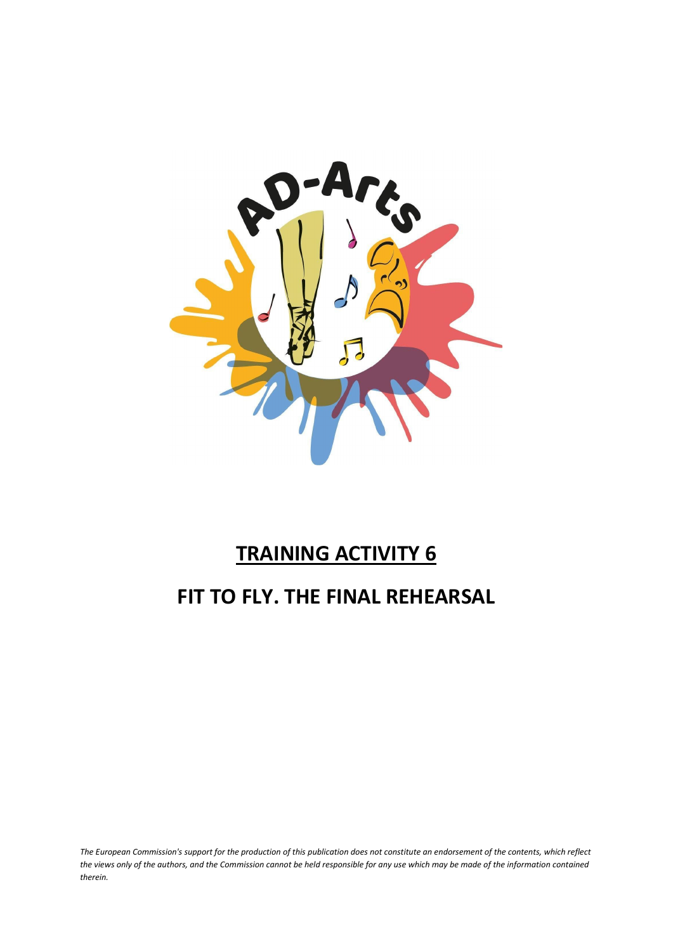

### **TRAINING ACTIVITY 6**

### **FIT TO FLY. THE FINAL REHEARSAL**

*The European Commission's support for the production of this publication does not constitute an endorsement of the contents, which reflect the views only of the authors, and the Commission cannot be held responsible for any use which may be made of the information contained therein.*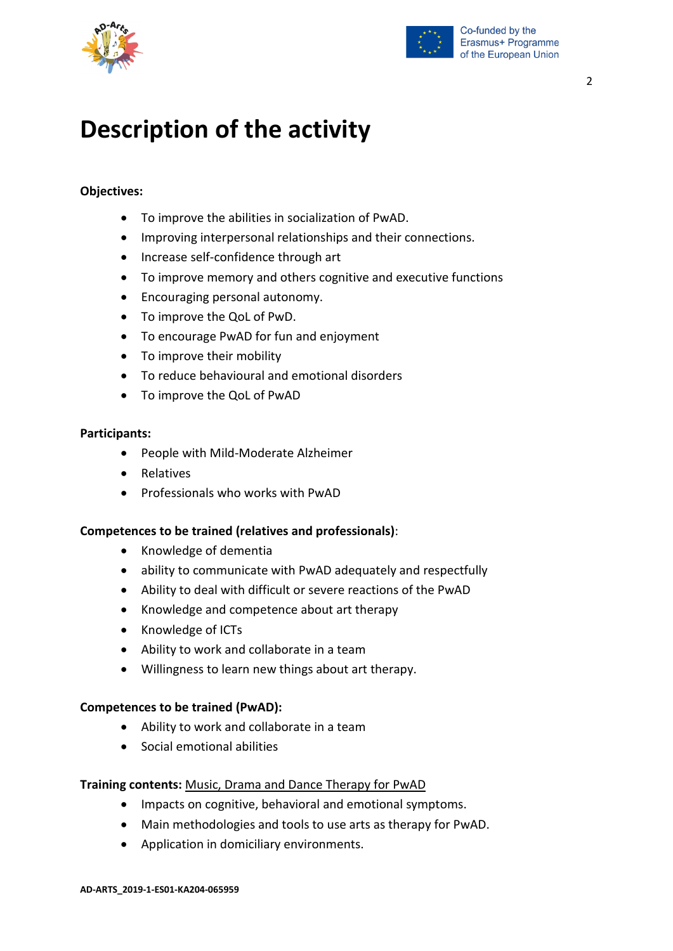![](_page_1_Picture_0.jpeg)

![](_page_1_Picture_1.jpeg)

## **Description of the activity**

#### **Objectives:**

- To improve the abilities in socialization of PwAD.
- Improving interpersonal relationships and their connections.
- Increase self-confidence through art
- To improve memory and others cognitive and executive functions
- Encouraging personal autonomy.
- To improve the QoL of PwD.
- To encourage PwAD for fun and enjoyment
- To improve their mobility
- To reduce behavioural and emotional disorders
- To improve the QoL of PwAD

#### **Participants:**

- People with Mild-Moderate Alzheimer
- Relatives
- Professionals who works with PwAD

#### **Competences to be trained (relatives and professionals)**:

- Knowledge of dementia
- ability to communicate with PwAD adequately and respectfully
- Ability to deal with difficult or severe reactions of the PwAD
- Knowledge and competence about art therapy
- Knowledge of ICTs
- Ability to work and collaborate in a team
- Willingness to learn new things about art therapy.

#### **Competences to be trained (PwAD):**

- Ability to work and collaborate in a team
- Social emotional abilities

#### **Training contents:** Music, Drama and Dance Therapy for PwAD

- Impacts on cognitive, behavioral and emotional symptoms.
- Main methodologies and tools to use arts as therapy for PwAD.
- Application in domiciliary environments.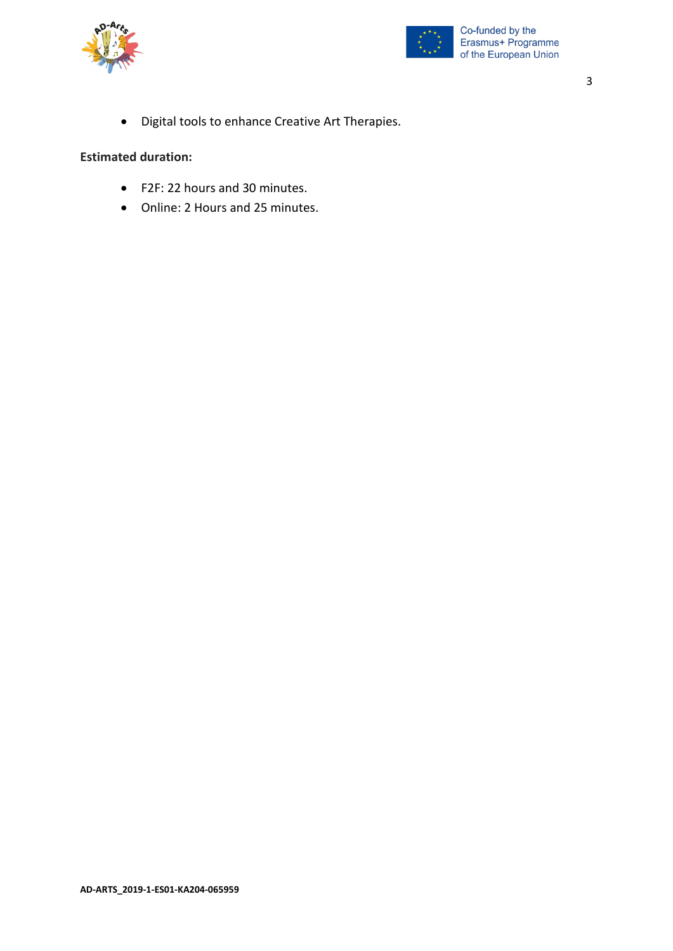![](_page_2_Picture_0.jpeg)

![](_page_2_Picture_1.jpeg)

3

• Digital tools to enhance Creative Art Therapies.

#### **Estimated duration:**

- F2F: 22 hours and 30 minutes.
- Online: 2 Hours and 25 minutes.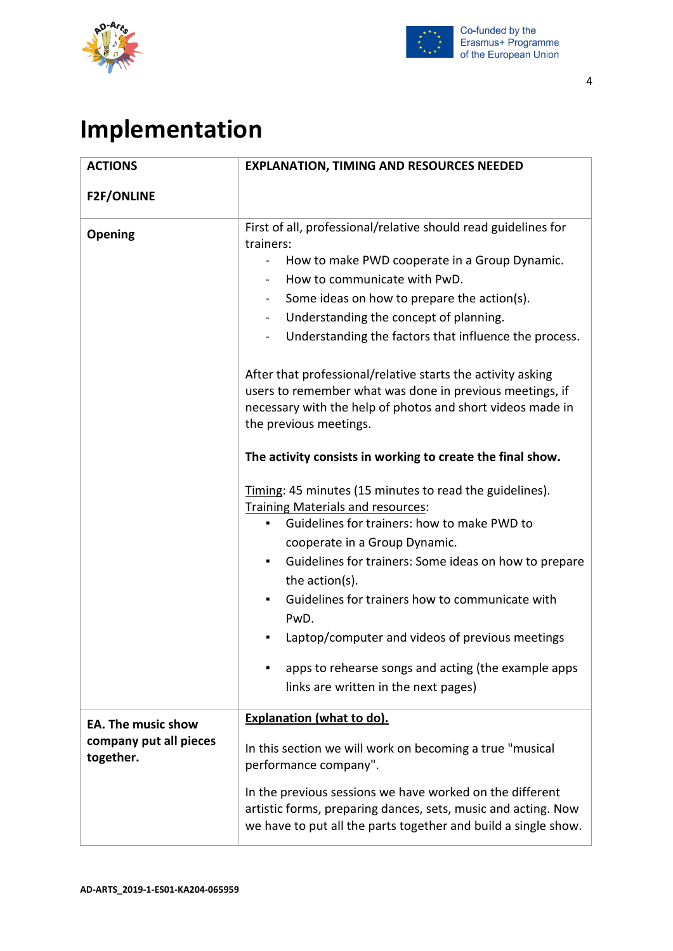![](_page_3_Picture_0.jpeg)

![](_page_3_Picture_1.jpeg)

# **Implementation**

| <b>ACTIONS</b>                                                   | <b>EXPLANATION, TIMING AND RESOURCES NEEDED</b>                                                                                                                                                                                                                                                                                                                                                                                                                                                                                                                                                                                                                                                                                                                                                                                                                                                                                                                                                                                                                                                                                                                                              |
|------------------------------------------------------------------|----------------------------------------------------------------------------------------------------------------------------------------------------------------------------------------------------------------------------------------------------------------------------------------------------------------------------------------------------------------------------------------------------------------------------------------------------------------------------------------------------------------------------------------------------------------------------------------------------------------------------------------------------------------------------------------------------------------------------------------------------------------------------------------------------------------------------------------------------------------------------------------------------------------------------------------------------------------------------------------------------------------------------------------------------------------------------------------------------------------------------------------------------------------------------------------------|
| <b>F2F/ONLINE</b>                                                |                                                                                                                                                                                                                                                                                                                                                                                                                                                                                                                                                                                                                                                                                                                                                                                                                                                                                                                                                                                                                                                                                                                                                                                              |
| <b>Opening</b>                                                   | First of all, professional/relative should read guidelines for<br>trainers:<br>How to make PWD cooperate in a Group Dynamic.<br>$\overline{\phantom{0}}$<br>How to communicate with PwD.<br>$\blacksquare$<br>Some ideas on how to prepare the action(s).<br>$\sim$<br>Understanding the concept of planning.<br>$\blacksquare$<br>Understanding the factors that influence the process.<br>After that professional/relative starts the activity asking<br>users to remember what was done in previous meetings, if<br>necessary with the help of photos and short videos made in<br>the previous meetings.<br>The activity consists in working to create the final show.<br>Timing: 45 minutes (15 minutes to read the guidelines).<br><b>Training Materials and resources:</b><br>Guidelines for trainers: how to make PWD to<br>$\blacksquare$<br>cooperate in a Group Dynamic.<br>Guidelines for trainers: Some ideas on how to prepare<br>the action(s).<br>Guidelines for trainers how to communicate with<br>$\blacksquare$<br>PwD.<br>Laptop/computer and videos of previous meetings<br>apps to rehearse songs and acting (the example apps<br>links are written in the next pages) |
| <b>EA. The music show</b><br>company put all pieces<br>together. | <b>Explanation (what to do).</b><br>In this section we will work on becoming a true "musical<br>performance company".                                                                                                                                                                                                                                                                                                                                                                                                                                                                                                                                                                                                                                                                                                                                                                                                                                                                                                                                                                                                                                                                        |
|                                                                  | In the previous sessions we have worked on the different<br>artistic forms, preparing dances, sets, music and acting. Now<br>we have to put all the parts together and build a single show.                                                                                                                                                                                                                                                                                                                                                                                                                                                                                                                                                                                                                                                                                                                                                                                                                                                                                                                                                                                                  |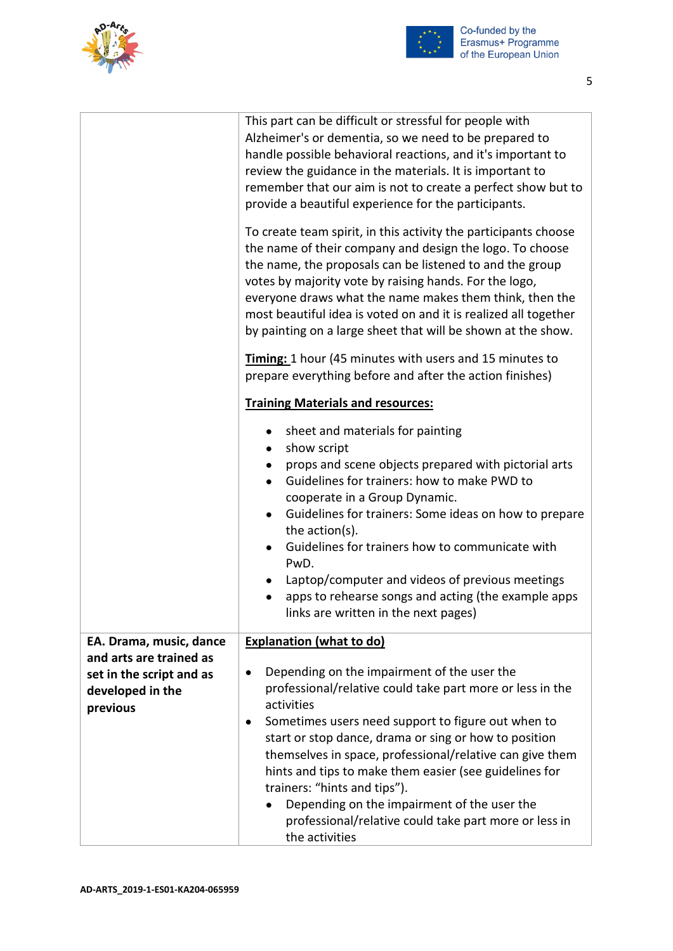![](_page_4_Picture_0.jpeg)

![](_page_4_Picture_1.jpeg)

|                                                          | This part can be difficult or stressful for people with<br>Alzheimer's or dementia, so we need to be prepared to<br>handle possible behavioral reactions, and it's important to<br>review the guidance in the materials. It is important to<br>remember that our aim is not to create a perfect show but to<br>provide a beautiful experience for the participants.<br>To create team spirit, in this activity the participants choose<br>the name of their company and design the logo. To choose<br>the name, the proposals can be listened to and the group<br>votes by majority vote by raising hands. For the logo,<br>everyone draws what the name makes them think, then the<br>most beautiful idea is voted on and it is realized all together<br>by painting on a large sheet that will be shown at the show. |
|----------------------------------------------------------|------------------------------------------------------------------------------------------------------------------------------------------------------------------------------------------------------------------------------------------------------------------------------------------------------------------------------------------------------------------------------------------------------------------------------------------------------------------------------------------------------------------------------------------------------------------------------------------------------------------------------------------------------------------------------------------------------------------------------------------------------------------------------------------------------------------------|
|                                                          | Timing: 1 hour (45 minutes with users and 15 minutes to<br>prepare everything before and after the action finishes)                                                                                                                                                                                                                                                                                                                                                                                                                                                                                                                                                                                                                                                                                                    |
|                                                          | <b>Training Materials and resources:</b>                                                                                                                                                                                                                                                                                                                                                                                                                                                                                                                                                                                                                                                                                                                                                                               |
|                                                          | sheet and materials for painting<br>show script<br>$\bullet$<br>props and scene objects prepared with pictorial arts<br>Guidelines for trainers: how to make PWD to<br>cooperate in a Group Dynamic.<br>Guidelines for trainers: Some ideas on how to prepare<br>$\bullet$<br>the action(s).<br>Guidelines for trainers how to communicate with<br>PwD.<br>Laptop/computer and videos of previous meetings<br>apps to rehearse songs and acting (the example apps<br>links are written in the next pages)                                                                                                                                                                                                                                                                                                              |
| EA. Drama, music, dance<br>and arts are trained as       | <b>Explanation (what to do)</b>                                                                                                                                                                                                                                                                                                                                                                                                                                                                                                                                                                                                                                                                                                                                                                                        |
| set in the script and as<br>developed in the<br>previous | Depending on the impairment of the user the<br>professional/relative could take part more or less in the<br>activities<br>Sometimes users need support to figure out when to                                                                                                                                                                                                                                                                                                                                                                                                                                                                                                                                                                                                                                           |
|                                                          | start or stop dance, drama or sing or how to position<br>themselves in space, professional/relative can give them<br>hints and tips to make them easier (see guidelines for<br>trainers: "hints and tips").<br>Depending on the impairment of the user the<br>professional/relative could take part more or less in<br>the activities                                                                                                                                                                                                                                                                                                                                                                                                                                                                                  |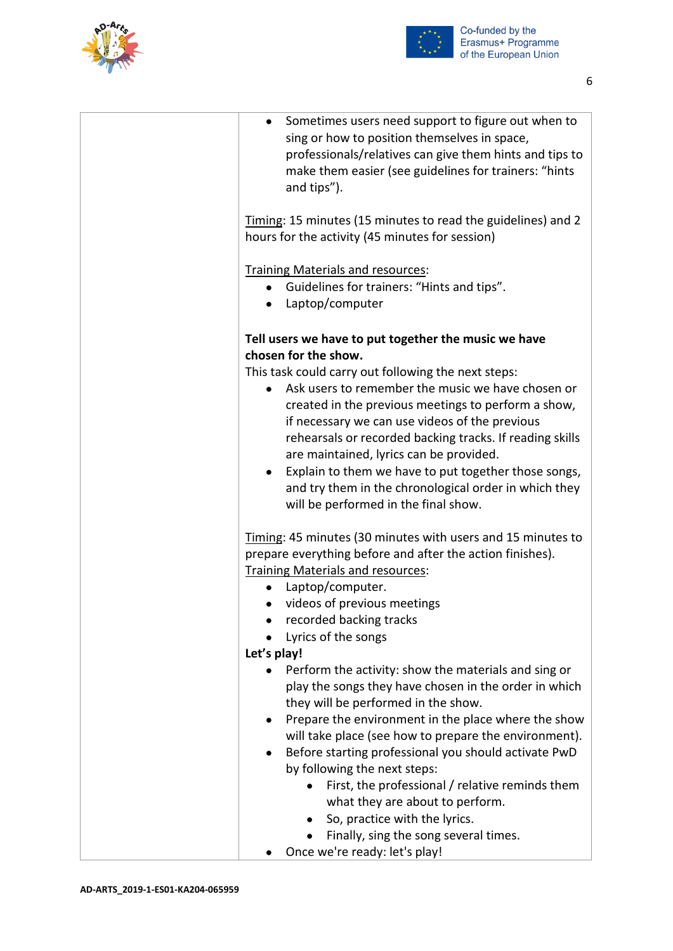![](_page_5_Picture_0.jpeg)

![](_page_5_Picture_1.jpeg)

| Sometimes users need support to figure out when to<br>sing or how to position themselves in space,<br>professionals/relatives can give them hints and tips to<br>make them easier (see guidelines for trainers: "hints<br>and tips").                                                                                                                                                                                                                                                                                                                                      |
|----------------------------------------------------------------------------------------------------------------------------------------------------------------------------------------------------------------------------------------------------------------------------------------------------------------------------------------------------------------------------------------------------------------------------------------------------------------------------------------------------------------------------------------------------------------------------|
| Timing: 15 minutes (15 minutes to read the guidelines) and 2<br>hours for the activity (45 minutes for session)                                                                                                                                                                                                                                                                                                                                                                                                                                                            |
| Training Materials and resources:<br>Guidelines for trainers: "Hints and tips".<br>Laptop/computer<br>$\bullet$                                                                                                                                                                                                                                                                                                                                                                                                                                                            |
| Tell users we have to put together the music we have<br>chosen for the show.                                                                                                                                                                                                                                                                                                                                                                                                                                                                                               |
| This task could carry out following the next steps:<br>Ask users to remember the music we have chosen or<br>created in the previous meetings to perform a show,<br>if necessary we can use videos of the previous<br>rehearsals or recorded backing tracks. If reading skills<br>are maintained, lyrics can be provided.<br>Explain to them we have to put together those songs,<br>and try them in the chronological order in which they<br>will be performed in the final show.                                                                                          |
| Timing: 45 minutes (30 minutes with users and 15 minutes to<br>prepare everything before and after the action finishes).<br>Training Materials and resources:<br>Laptop/computer.<br>$\bullet$<br>videos of previous meetings<br>recorded backing tracks<br>Lyrics of the songs<br>Let's play!                                                                                                                                                                                                                                                                             |
| Perform the activity: show the materials and sing or<br>play the songs they have chosen in the order in which<br>they will be performed in the show.<br>Prepare the environment in the place where the show<br>will take place (see how to prepare the environment).<br>Before starting professional you should activate PwD<br>by following the next steps:<br>First, the professional / relative reminds them<br>what they are about to perform.<br>So, practice with the lyrics.<br>$\bullet$<br>Finally, sing the song several times.<br>Once we're ready: let's play! |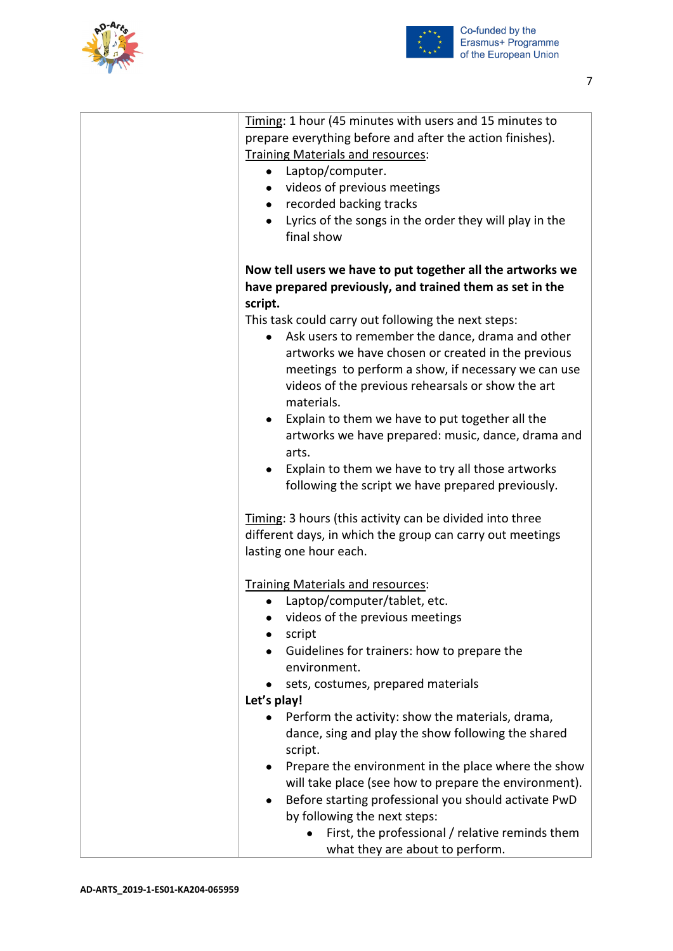![](_page_6_Picture_0.jpeg)

![](_page_6_Picture_1.jpeg)

7

| Timing: 1 hour (45 minutes with users and 15 minutes to<br>prepare everything before and after the action finishes).<br><b>Training Materials and resources:</b><br>Laptop/computer.<br>$\bullet$<br>videos of previous meetings<br>$\bullet$<br>recorded backing tracks<br>$\bullet$<br>Lyrics of the songs in the order they will play in the<br>final show                                          |
|--------------------------------------------------------------------------------------------------------------------------------------------------------------------------------------------------------------------------------------------------------------------------------------------------------------------------------------------------------------------------------------------------------|
| Now tell users we have to put together all the artworks we<br>have prepared previously, and trained them as set in the<br>script.                                                                                                                                                                                                                                                                      |
| This task could carry out following the next steps:<br>Ask users to remember the dance, drama and other<br>artworks we have chosen or created in the previous<br>meetings to perform a show, if necessary we can use<br>videos of the previous rehearsals or show the art<br>materials.                                                                                                                |
| Explain to them we have to put together all the<br>artworks we have prepared: music, dance, drama and<br>arts.<br>Explain to them we have to try all those artworks<br>following the script we have prepared previously.                                                                                                                                                                               |
| Timing: 3 hours (this activity can be divided into three<br>different days, in which the group can carry out meetings<br>lasting one hour each.                                                                                                                                                                                                                                                        |
| <b>Training Materials and resources:</b><br>Laptop/computer/tablet, etc.<br>videos of the previous meetings<br>script<br>Guidelines for trainers: how to prepare the<br>environment.<br>sets, costumes, prepared materials                                                                                                                                                                             |
| Let's play!                                                                                                                                                                                                                                                                                                                                                                                            |
| Perform the activity: show the materials, drama,<br>dance, sing and play the show following the shared<br>script.<br>Prepare the environment in the place where the show<br>$\bullet$<br>will take place (see how to prepare the environment).<br>Before starting professional you should activate PwD<br>$\bullet$<br>by following the next steps:<br>First, the professional / relative reminds them |
| what they are about to perform.                                                                                                                                                                                                                                                                                                                                                                        |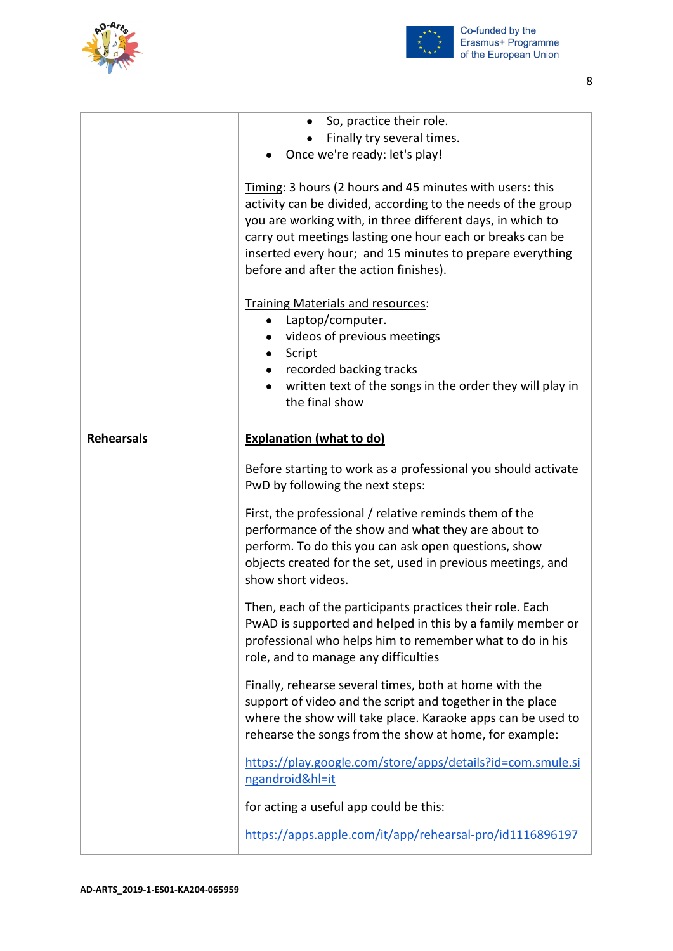![](_page_7_Picture_0.jpeg)

![](_page_7_Picture_1.jpeg)

|                   | So, practice their role.                                                                                                                                                                                                                                                                                                                                   |
|-------------------|------------------------------------------------------------------------------------------------------------------------------------------------------------------------------------------------------------------------------------------------------------------------------------------------------------------------------------------------------------|
|                   | Finally try several times.                                                                                                                                                                                                                                                                                                                                 |
|                   | Once we're ready: let's play!                                                                                                                                                                                                                                                                                                                              |
|                   | Timing: 3 hours (2 hours and 45 minutes with users: this<br>activity can be divided, according to the needs of the group<br>you are working with, in three different days, in which to<br>carry out meetings lasting one hour each or breaks can be<br>inserted every hour; and 15 minutes to prepare everything<br>before and after the action finishes). |
|                   | Training Materials and resources:                                                                                                                                                                                                                                                                                                                          |
|                   | Laptop/computer.<br>$\bullet$                                                                                                                                                                                                                                                                                                                              |
|                   | videos of previous meetings                                                                                                                                                                                                                                                                                                                                |
|                   | Script<br>$\bullet$                                                                                                                                                                                                                                                                                                                                        |
|                   | recorded backing tracks                                                                                                                                                                                                                                                                                                                                    |
|                   | written text of the songs in the order they will play in                                                                                                                                                                                                                                                                                                   |
|                   | the final show                                                                                                                                                                                                                                                                                                                                             |
|                   |                                                                                                                                                                                                                                                                                                                                                            |
| <b>Rehearsals</b> | <b>Explanation (what to do)</b>                                                                                                                                                                                                                                                                                                                            |
|                   | Before starting to work as a professional you should activate<br>PwD by following the next steps:                                                                                                                                                                                                                                                          |
|                   | First, the professional / relative reminds them of the<br>performance of the show and what they are about to<br>perform. To do this you can ask open questions, show<br>objects created for the set, used in previous meetings, and<br>show short videos.                                                                                                  |
|                   | Then, each of the participants practices their role. Each<br>PwAD is supported and helped in this by a family member or<br>professional who helps him to remember what to do in his<br>role, and to manage any difficulties                                                                                                                                |
|                   | Finally, rehearse several times, both at home with the<br>support of video and the script and together in the place<br>where the show will take place. Karaoke apps can be used to<br>rehearse the songs from the show at home, for example:                                                                                                               |
|                   | https://play.google.com/store/apps/details?id=com.smule.si<br>ngandroid&hl=it                                                                                                                                                                                                                                                                              |
|                   | for acting a useful app could be this:                                                                                                                                                                                                                                                                                                                     |
|                   |                                                                                                                                                                                                                                                                                                                                                            |
|                   | https://apps.apple.com/it/app/rehearsal-pro/id1116896197                                                                                                                                                                                                                                                                                                   |